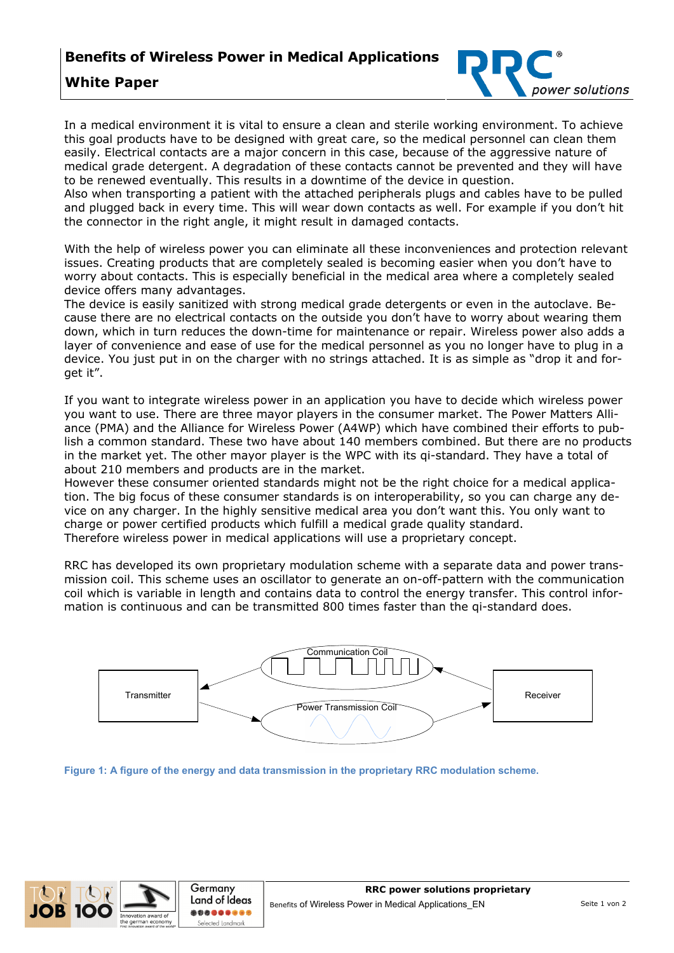

## **White Paper**

In a medical environment it is vital to ensure a clean and sterile working environment. To achieve this goal products have to be designed with great care, so the medical personnel can clean them easily. Electrical contacts are a major concern in this case, because of the aggressive nature of medical grade detergent. A degradation of these contacts cannot be prevented and they will have to be renewed eventually. This results in a downtime of the device in question.

Also when transporting a patient with the attached peripherals plugs and cables have to be pulled and plugged back in every time. This will wear down contacts as well. For example if you don't hit the connector in the right angle, it might result in damaged contacts.

With the help of wireless power you can eliminate all these inconveniences and protection relevant issues. Creating products that are completely sealed is becoming easier when you don't have to worry about contacts. This is especially beneficial in the medical area where a completely sealed device offers many advantages.

The device is easily sanitized with strong medical grade detergents or even in the autoclave. Because there are no electrical contacts on the outside you don't have to worry about wearing them down, which in turn reduces the down-time for maintenance or repair. Wireless power also adds a layer of convenience and ease of use for the medical personnel as you no longer have to plug in a device. You just put in on the charger with no strings attached. It is as simple as "drop it and forget it".

If you want to integrate wireless power in an application you have to decide which wireless power you want to use. There are three mayor players in the consumer market. The Power Matters Alliance (PMA) and the Alliance for Wireless Power (A4WP) which have combined their efforts to publish a common standard. These two have about 140 members combined. But there are no products in the market yet. The other mayor player is the WPC with its qi-standard. They have a total of about 210 members and products are in the market.

However these consumer oriented standards might not be the right choice for a medical application. The big focus of these consumer standards is on interoperability, so you can charge any device on any charger. In the highly sensitive medical area you don't want this. You only want to charge or power certified products which fulfill a medical grade quality standard. Therefore wireless power in medical applications will use a proprietary concept.

RRC has developed its own proprietary modulation scheme with a separate data and power transmission coil. This scheme uses an oscillator to generate an on-off-pattern with the communication coil which is variable in length and contains data to control the energy transfer. This control information is continuous and can be transmitted 800 times faster than the qi-standard does.



**Figure 1: A figure of the energy and data transmission in the proprietary RRC modulation scheme.**